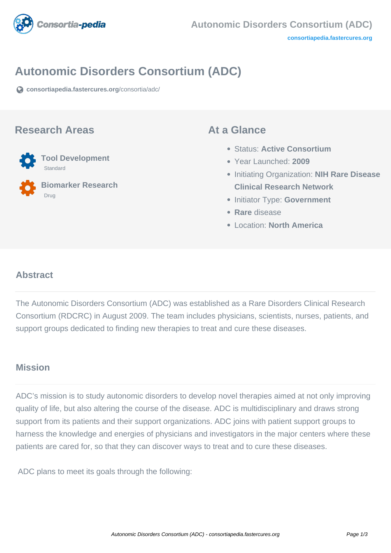

# **Autonomic Disorders Consortium (ADC)**

**[consortiapedia.fastercures.org](https://consortiapedia.fastercures.org/consortia/adc/)**[/consortia/adc/](https://consortiapedia.fastercures.org/consortia/adc/)

#### **Research Areas**



 **Biomarker Research** Drug

#### **At a Glance**

- Status: **Active Consortium**
- Year Launched: **2009**
- Initiating Organization: **NIH Rare Disease Clinical Research Network**
- **Initiator Type: Government**
- **Rare** disease
- Location: **North America**

#### **Abstract**

The Autonomic Disorders Consortium (ADC) was established as a Rare Disorders Clinical Research Consortium (RDCRC) in August 2009. The team includes physicians, scientists, nurses, patients, and support groups dedicated to finding new therapies to treat and cure these diseases.

#### **Mission**

ADC's mission is to study autonomic disorders to develop novel therapies aimed at not only improving quality of life, but also altering the course of the disease. ADC is multidisciplinary and draws strong support from its patients and their support organizations. ADC joins with patient support groups to harness the knowledge and energies of physicians and investigators in the major centers where these patients are cared for, so that they can discover ways to treat and to cure these diseases.

ADC plans to meet its goals through the following: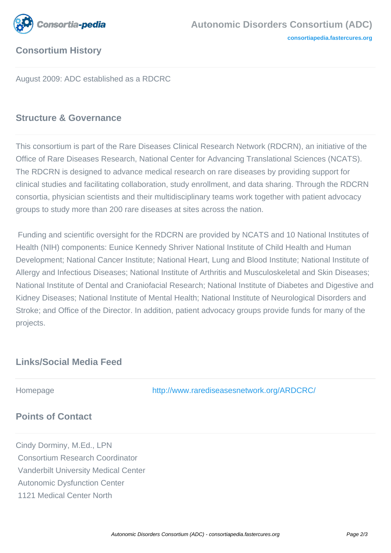

### **Consortium History**

August 2009: ADC established as a RDCRC

### **Structure & Governance**

This consortium is part of the Rare Diseases Clinical Research Network (RDCRN), an initiative of the Office of Rare Diseases Research, National Center for Advancing Translational Sciences (NCATS). The RDCRN is designed to advance medical research on rare diseases by providing support for clinical studies and facilitating collaboration, study enrollment, and data sharing. Through the RDCRN consortia, physician scientists and their multidisciplinary teams work together with patient advocacy groups to study more than 200 rare diseases at sites across the nation.

 Funding and scientific oversight for the RDCRN are provided by NCATS and 10 National Institutes of Health (NIH) components: Eunice Kennedy Shriver National Institute of Child Health and Human Development; National Cancer Institute; National Heart, Lung and Blood Institute; National Institute of Allergy and Infectious Diseases; National Institute of Arthritis and Musculoskeletal and Skin Diseases; National Institute of Dental and Craniofacial Research; National Institute of Diabetes and Digestive and Kidney Diseases; National Institute of Mental Health; National Institute of Neurological Disorders and Stroke; and Office of the Director. In addition, patient advocacy groups provide funds for many of the projects.

### **Links/Social Media Feed**

Homepage [http://www.rarediseasesnetwork.org/ARDCRC/](http://http//www.rarediseasesnetwork.org/ARDCRC/)

### **Points of Contact**

Cindy Dorminy, M.Ed., LPN Consortium Research Coordinator Vanderbilt University Medical Center Autonomic Dysfunction Center 1121 Medical Center North